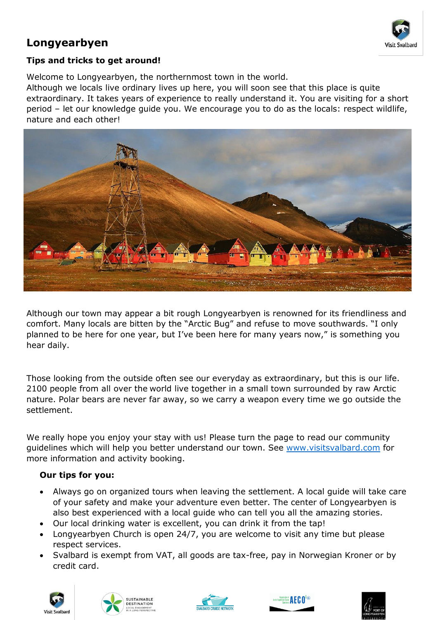

# **Longyearbyen**

### **Tips and tricks to get around!**

Welcome to Longyearbyen, the northernmost town in the world.

Although we locals live ordinary lives up here, you will soon see that this place is quite extraordinary. It takes years of experience to really understand it. You are visiting for a short period – let our knowledge guide you. We encourage you to do as the locals: respect wildlife, nature and each other!



Although our town may appear a bit rough Longyearbyen is renowned for its friendliness and comfort. Many locals are bitten by the "Arctic Bug" and refuse to move southwards. "I only planned to be here for one year, but I've been here for many years now," is something you hear daily.

Those looking from the outside often see our everyday as extraordinary, but this is our life. 2100 people from all over the world live together in a small town surrounded by raw Arctic nature. Polar bears are never far away, so we carry a weapon every time we go outside the settlement.

We really hope you enjoy your stay with us! Please turn the page to read our community guidelines which will help you better understand our town. See [www.visitsvalbard.com](http://www.visitsvalbard.com/) for more information and activity booking.

#### **Our tips for you:**

- Always go on organized tours when leaving the settlement. A local guide will take care of your safety and make your adventure even better. The center of Longyearbyen is also best experienced with a local guide who can tell you all the amazing stories.
- Our local drinking water is excellent, you can drink it from the tap!
- Longyearbyen Church is open 24/7, you are welcome to visit any time but please respect services.
- Svalbard is exempt from VAT, all goods are tax-free, pay in Norwegian Kroner or by credit card.